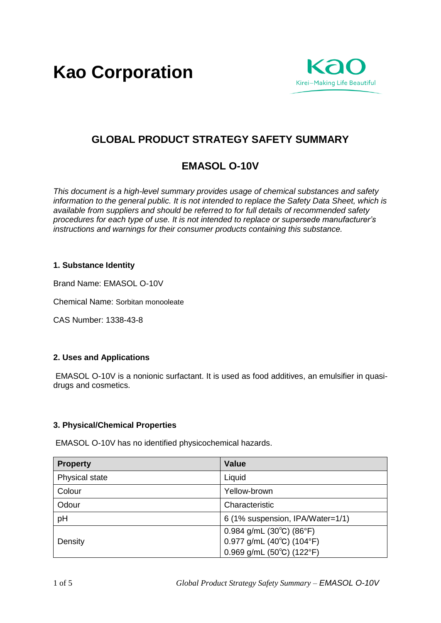**Kao Corporation**



# **GLOBAL PRODUCT STRATEGY SAFETY SUMMARY**

# **EMASOL O-10V**

*This document is a high-level summary provides usage of chemical substances and safety information to the general public. It is not intended to replace the Safety Data Sheet, which is available from suppliers and should be referred to for full details of recommended safety procedures for each type of use. It is not intended to replace or supersede manufacturer's instructions and warnings for their consumer products containing this substance.* 

## **1. Substance Identity**

Brand Name: EMASOL O-10V

Chemical Name: Sorbitan monooleate

CAS Number: 1338-43-8

# **2. Uses and Applications**

EMASOL O-10V is a nonionic surfactant. It is used as food additives, an emulsifier in quasidrugs and cosmetics.

## **3. Physical/Chemical Properties**

EMASOL O-10V has no identified physicochemical hazards.

| <b>Property</b> | Value                                             |
|-----------------|---------------------------------------------------|
| Physical state  | Liquid                                            |
| Colour          | Yellow-brown                                      |
| Odour           | Characteristic                                    |
| pH              | 6 (1% suspension, IPA/Water=1/1)                  |
|                 | 0.984 g/mL $(30^{\circ}C)$ $(86^{\circ}F)$        |
| Density         | $0.977$ g/mL (40 $^{\circ}$ C) (104 $^{\circ}$ F) |
|                 | $0.969$ g/mL (50°C) (122°F)                       |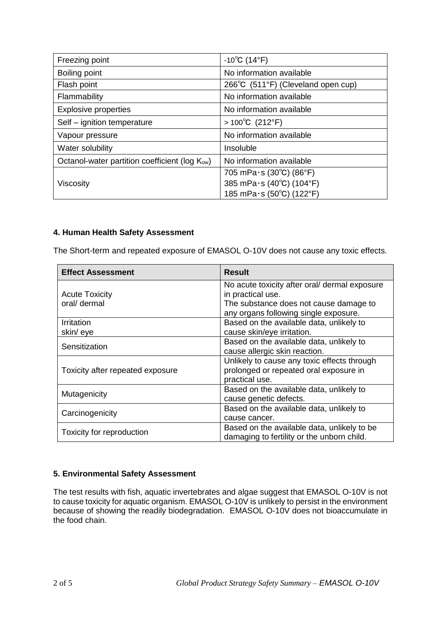| Freezing point                                             | $-10^{\circ}$ C (14 $^{\circ}$ F)  |
|------------------------------------------------------------|------------------------------------|
| Boiling point                                              | No information available           |
| Flash point                                                | 266°C (511°F) (Cleveland open cup) |
| Flammability                                               | No information available           |
| <b>Explosive properties</b>                                | No information available           |
| Self - ignition temperature                                | > 100 °C (212 °F)                  |
| Vapour pressure                                            | No information available           |
| Water solubility                                           | Insoluble                          |
| Octanol-water partition coefficient (log K <sub>ow</sub> ) | No information available           |
|                                                            | 705 mPa $\cdot$ s (30°C) (86°F)    |
| Viscosity                                                  | 385 mPa·s (40°C) (104°F)           |
|                                                            | 185 mPa·s (50°C) (122°F)           |

## **4. Human Health Safety Assessment**

The Short-term and repeated exposure of EMASOL O-10V does not cause any toxic effects.

| <b>Effect Assessment</b>              | <b>Result</b>                                                                                                                                         |
|---------------------------------------|-------------------------------------------------------------------------------------------------------------------------------------------------------|
| <b>Acute Toxicity</b><br>oral/ dermal | No acute toxicity after oral/ dermal exposure<br>in practical use.<br>The substance does not cause damage to<br>any organs following single exposure. |
| Irritation                            | Based on the available data, unlikely to                                                                                                              |
| skin/eye                              | cause skin/eye irritation.                                                                                                                            |
| Sensitization                         | Based on the available data, unlikely to<br>cause allergic skin reaction.                                                                             |
| Toxicity after repeated exposure      | Unlikely to cause any toxic effects through<br>prolonged or repeated oral exposure in<br>practical use.                                               |
| Mutagenicity                          | Based on the available data, unlikely to<br>cause genetic defects.                                                                                    |
| Carcinogenicity                       | Based on the available data, unlikely to                                                                                                              |
|                                       | cause cancer.                                                                                                                                         |
| Toxicity for reproduction             | Based on the available data, unlikely to be<br>damaging to fertility or the unborn child.                                                             |

# **5. Environmental Safety Assessment**

The test results with fish, aquatic invertebrates and algae suggest that EMASOL O-10V is not to cause toxicity for aquatic organism. EMASOL O-10V is unlikely to persist in the environment because of showing the readily biodegradation. EMASOL O-10V does not bioaccumulate in the food chain.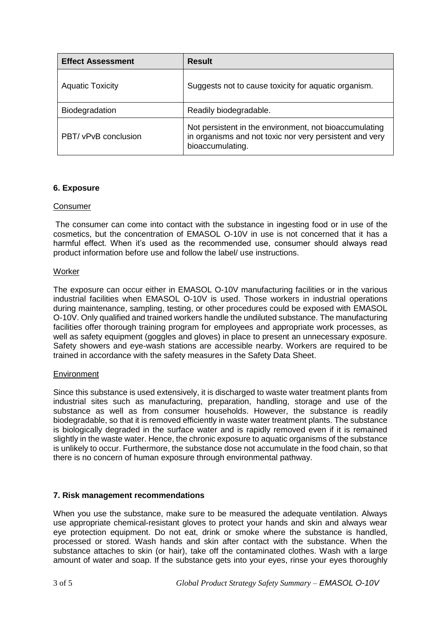| <b>Effect Assessment</b> | <b>Result</b>                                                                                                                         |
|--------------------------|---------------------------------------------------------------------------------------------------------------------------------------|
| <b>Aquatic Toxicity</b>  | Suggests not to cause toxicity for aquatic organism.                                                                                  |
| Biodegradation           | Readily biodegradable.                                                                                                                |
| PBT/ vPvB conclusion     | Not persistent in the environment, not bioaccumulating<br>in organisms and not toxic nor very persistent and very<br>bioaccumulating. |

## **6. Exposure**

## Consumer

The consumer can come into contact with the substance in ingesting food or in use of the cosmetics, but the concentration of EMASOL O-10V in use is not concerned that it has a harmful effect. When it's used as the recommended use, consumer should always read product information before use and follow the label/ use instructions.

## **Worker**

The exposure can occur either in EMASOL O-10V manufacturing facilities or in the various industrial facilities when EMASOL O-10V is used. Those workers in industrial operations during maintenance, sampling, testing, or other procedures could be exposed with EMASOL O-10V. Only qualified and trained workers handle the undiluted substance. The manufacturing facilities offer thorough training program for employees and appropriate work processes, as well as safety equipment (goggles and gloves) in place to present an unnecessary exposure. Safety showers and eye-wash stations are accessible nearby. Workers are required to be trained in accordance with the safety measures in the Safety Data Sheet.

#### **Environment**

Since this substance is used extensively, it is discharged to waste water treatment plants from industrial sites such as manufacturing, preparation, handling, storage and use of the substance as well as from consumer households. However, the substance is readily biodegradable, so that it is removed efficiently in waste water treatment plants. The substance is biologically degraded in the surface water and is rapidly removed even if it is remained slightly in the waste water. Hence, the chronic exposure to aquatic organisms of the substance is unlikely to occur. Furthermore, the substance dose not accumulate in the food chain, so that there is no concern of human exposure through environmental pathway.

## **7. Risk management recommendations**

When you use the substance, make sure to be measured the adequate ventilation. Always use appropriate chemical-resistant gloves to protect your hands and skin and always wear eye protection equipment. Do not eat, drink or smoke where the substance is handled, processed or stored. Wash hands and skin after contact with the substance. When the substance attaches to skin (or hair), take off the contaminated clothes. Wash with a large amount of water and soap. If the substance gets into your eyes, rinse your eyes thoroughly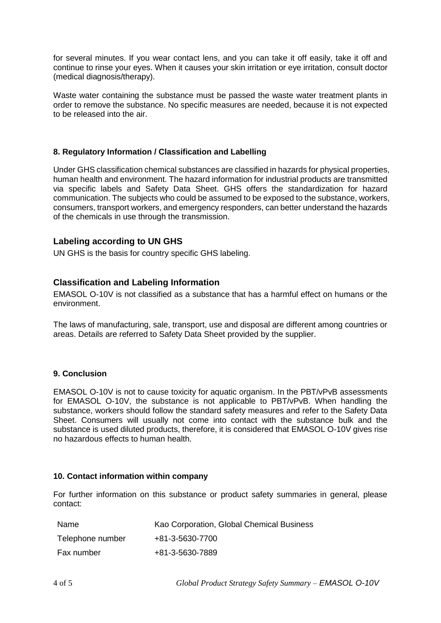for several minutes. If you wear contact lens, and you can take it off easily, take it off and continue to rinse your eyes. When it causes your skin irritation or eye irritation, consult doctor (medical diagnosis/therapy).

Waste water containing the substance must be passed the waste water treatment plants in order to remove the substance. No specific measures are needed, because it is not expected to be released into the air.

## **8. Regulatory Information / Classification and Labelling**

Under GHS classification chemical substances are classified in hazards for physical properties, human health and environment. The hazard information for industrial products are transmitted via specific labels and Safety Data Sheet. GHS offers the standardization for hazard communication. The subjects who could be assumed to be exposed to the substance, workers, consumers, transport workers, and emergency responders, can better understand the hazards of the chemicals in use through the transmission.

## **Labeling according to UN GHS**

UN GHS is the basis for country specific GHS labeling.

## **Classification and Labeling Information**

EMASOL O-10V is not classified as a substance that has a harmful effect on humans or the environment.

The laws of manufacturing, sale, transport, use and disposal are different among countries or areas. Details are referred to Safety Data Sheet provided by the supplier.

#### **9. Conclusion**

EMASOL O-10V is not to cause toxicity for aquatic organism. In the PBT/vPvB assessments for EMASOL O-10V, the substance is not applicable to PBT/vPvB. When handling the substance, workers should follow the standard safety measures and refer to the Safety Data Sheet. Consumers will usually not come into contact with the substance bulk and the substance is used diluted products, therefore, it is considered that EMASOL O-10V gives rise no hazardous effects to human health.

#### **10. Contact information within company**

For further information on this substance or product safety summaries in general, please contact:

| Name             | Kao Corporation, Global Chemical Business |
|------------------|-------------------------------------------|
| Telephone number | +81-3-5630-7700                           |
| Fax number       | +81-3-5630-7889                           |